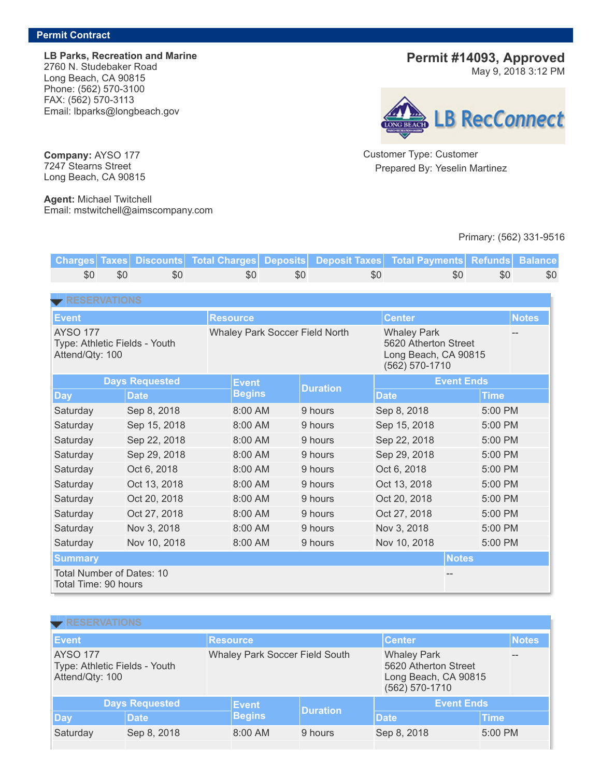LB Parks, Recreation and Marine 2760 N. Studebaker Road Long Beach, CA 90815 Phone: (562) 570-3100 FAX: (562) 570-3113 Email: lbparks@longbeach.gov

Permit #14093, Approved

May 9, 2018 3:12 PM



Customer Type: Customer Prepared By: Yeselin Martinez

## Primary: (562) 331-9516

Charges Taxes Discounts Total Charges Deposits Deposit Taxes Total Payments Refunds Balance \$0 \$0 \$0 \$0 \$0 \$0 \$0 \$0 \$0 **[RESERVATIONS](javascript: toggleDisplay  ()** Event Resource Resource Center Notes Notes (Center Notes AYSO 177 Type: Athletic Fields - Youth Attend/Qty: 100 Whaley Park Soccer Field North Whaley Park 5620 Atherton Street Long Beach, CA 90815 (562) 570-1710 -- Days Requested **Event Begins Duration** Event Ends Day |Date |Begins |<sup>—…………</sup> |Date |Time Saturday Sep 8, 2018 8:00 AM 9 hours Sep 8, 2018 5:00 PM Saturday Sep 15, 2018 8:00 AM 9 hours Sep 15, 2018 5:00 PM Saturday Sep 22, 2018 8:00 AM 9 hours Sep 22, 2018 5:00 PM Saturday Sep 29, 2018 8:00 AM 9 hours Sep 29, 2018 5:00 PM Saturday Oct 6, 2018 8:00 AM 9 hours Oct 6, 2018 5:00 PM Saturday Oct 13, 2018 8:00 AM 9 hours Oct 13, 2018 5:00 PM Saturday Oct 20, 2018 8:00 AM 9 hours Oct 20, 2018 5:00 PM Saturday Oct 27, 2018 8:00 AM 9 hours Oct 27, 2018 5:00 PM Saturday Nov 3, 2018 8:00 AM 9 hours Nov 3, 2018 5:00 PM Saturday Nov 10, 2018 8:00 AM 9 hours Nov 10, 2018 5:00 PM Summary Notes Total Number of Dates: 10 Total Time: 90 hours --

| <b>EXPRESERVATIONS</b>                                              |             |                 |                                |                 |                                                                                      |              |  |  |
|---------------------------------------------------------------------|-------------|-----------------|--------------------------------|-----------------|--------------------------------------------------------------------------------------|--------------|--|--|
| Event                                                               |             | <b>Resource</b> |                                |                 | <b>Center</b>                                                                        | <b>Notes</b> |  |  |
| <b>AYSO 177</b><br>Type: Athletic Fields - Youth<br>Attend/Qty: 100 |             |                 | Whaley Park Soccer Field South |                 | <b>Whaley Park</b><br>5620 Atherton Street<br>Long Beach, CA 90815<br>(562) 570-1710 |              |  |  |
| <b>Days Requested</b>                                               |             |                 | Event                          | <b>Duration</b> | <b>Event Ends</b>                                                                    |              |  |  |
| $\log$                                                              | <b>Date</b> |                 | <b>Begins</b>                  |                 | <b>Date</b>                                                                          | <b>Time</b>  |  |  |
| Saturday                                                            | Sep 8, 2018 |                 | 8:00 AM                        | 9 hours         | Sep 8, 2018                                                                          | 5:00 PM      |  |  |

Company: AYSO 177 7247 Stearns Street Long Beach, CA 90815

Agent: Michael Twitchell Email: mstwitchell@aimscompany.com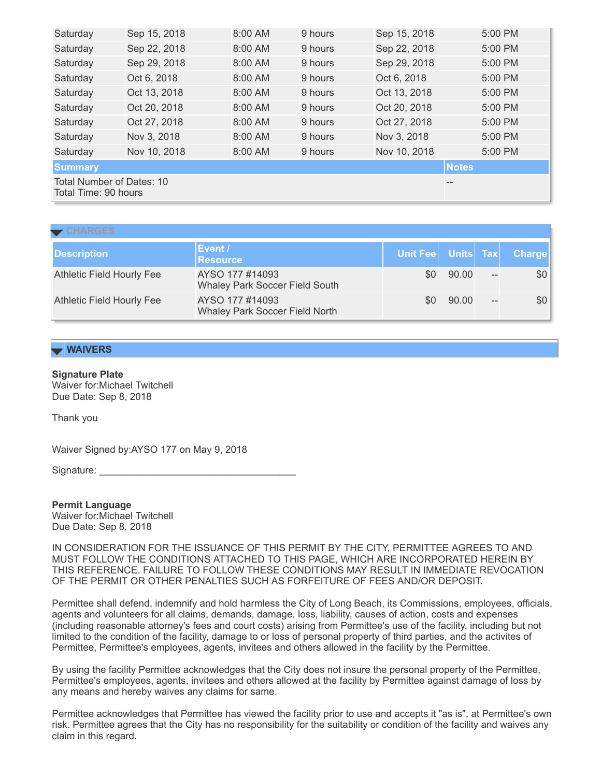| Saturday                                                | Sep 15, 2018 | 8:00 AM | 9 hours | Sep 15, 2018 | 5:00 PM      |  |
|---------------------------------------------------------|--------------|---------|---------|--------------|--------------|--|
| Saturday                                                | Sep 22, 2018 | 8:00 AM | 9 hours | Sep 22, 2018 | 5:00 PM      |  |
| Saturday                                                | Sep 29, 2018 | 8:00 AM | 9 hours | Sep 29, 2018 | 5:00 PM      |  |
| Saturday                                                | Oct 6, 2018  | 8:00 AM | 9 hours | Oct 6, 2018  | 5:00 PM      |  |
| Saturday                                                | Oct 13, 2018 | 8:00 AM | 9 hours | Oct 13, 2018 | 5:00 PM      |  |
| Saturday                                                | Oct 20, 2018 | 8:00 AM | 9 hours | Oct 20, 2018 | 5:00 PM      |  |
| Saturday                                                | Oct 27, 2018 | 8:00 AM | 9 hours | Oct 27, 2018 | 5:00 PM      |  |
| Saturday                                                | Nov 3, 2018  | 8:00 AM | 9 hours | Nov 3, 2018  | 5:00 PM      |  |
| Saturday                                                | Nov 10, 2018 | 8:00 AM | 9 hours | Nov 10, 2018 | 5:00 PM      |  |
| <b>Summary</b>                                          |              |         |         |              | <b>Notes</b> |  |
| Total Number of Dates: 10<br>--<br>Total Time: 90 hours |              |         |         |              |              |  |

### **[CHARGES](javascript: toggleDisplay  ()**

| <b>Description</b>               | Event /<br><b>Resource</b>                        |     |       |             | Unit Fee Units Tax Charge |
|----------------------------------|---------------------------------------------------|-----|-------|-------------|---------------------------|
| <b>Athletic Field Hourly Fee</b> | AYSO 177 #14093<br>Whaley Park Soccer Field South | \$0 | 90.00 | $-\!$ $\!-$ | \$0                       |
| <b>Athletic Field Hourly Fee</b> | AYSO 177 #14093<br>Whaley Park Soccer Field North | \$0 | 90.00 | $-\!$ $\!-$ | \$0                       |

## **WAIVERS**

### Signature Plate

Waiver for:Michael Twitchell Due Date: Sep 8, 2018

Thank you

Waiver Signed by:AYSO 177 on May 9, 2018

Signature:

Permit Language Waiver for:Michael Twitchell Due Date: Sep 8, 2018

IN CONSIDERATION FOR THE ISSUANCE OF THIS PERMIT BY THE CITY, PERMITTEE AGREES TO AND MUST FOLLOW THE CONDITIONS ATTACHED TO THIS PAGE, WHICH ARE INCORPORATED HEREIN BY THIS REFERENCE. FAILURE TO FOLLOW THESE CONDITIONS MAY RESULT IN IMMEDIATE REVOCATION OF THE PERMIT OR OTHER PENALTIES SUCH AS FORFEITURE OF FEES AND/OR DEPOSIT.

Permittee shall defend, indemnify and hold harmless the City of Long Beach, its Commissions, employees, officials, agents and volunteers for all claims, demands, damage, loss, liability, causes of action, costs and expenses (including reasonable attorney's fees and court costs) arising from Permittee's use of the facility, including but not limited to the condition of the facility, damage to or loss of personal property of third parties, and the activites of Permittee, Permittee's employees, agents, invitees and others allowed in the facility by the Permittee.

By using the facility Permittee acknowledges that the City does not insure the personal property of the Permittee, Permittee's employees, agents, invitees and others allowed at the facility by Permittee against damage of loss by any means and hereby waives any claims for same.

Permittee acknowledges that Permittee has viewed the facility prior to use and accepts it "as is", at Permittee's own risk. Permittee agrees that the City has no responsibility for the suitability or condition of the facility and waives any claim in this regard.